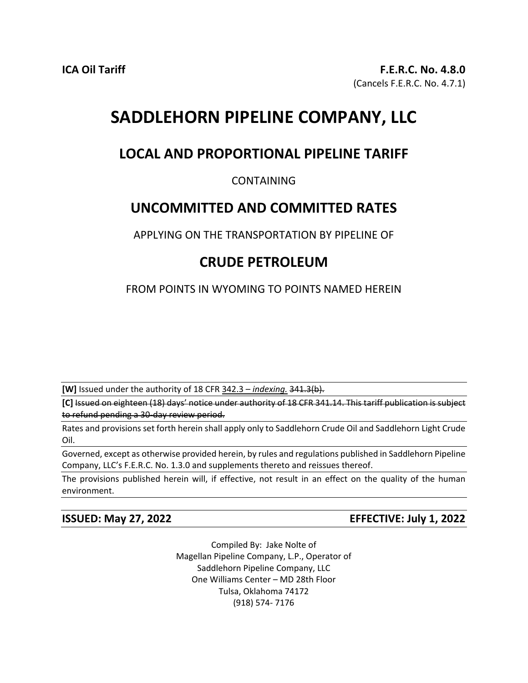# **SADDLEHORN PIPELINE COMPANY, LLC**

## **LOCAL AND PROPORTIONAL PIPELINE TARIFF**

### CONTAINING

### **UNCOMMITTED AND COMMITTED RATES**

APPLYING ON THE TRANSPORTATION BY PIPELINE OF

# **CRUDE PETROLEUM**

FROM POINTS IN WYOMING TO POINTS NAMED HEREIN

**[W]** Issued under the authority of 18 CFR 342.3 – *indexing.* 341.3(b).

**[C]** Issued on eighteen (18) days' notice under authority of 18 CFR 341.14. This tariff publication is subject to refund pending a 30-day review period.

Rates and provisions set forth herein shall apply only to Saddlehorn Crude Oil and Saddlehorn Light Crude Oil.

Governed, except as otherwise provided herein, by rules and regulations published in Saddlehorn Pipeline Company, LLC's F.E.R.C. No. 1.3.0 and supplements thereto and reissues thereof.

The provisions published herein will, if effective, not result in an effect on the quality of the human environment.

**ISSUED: May 27, 2022 EFFECTIVE: July 1, 2022**

Compiled By: Jake Nolte of Magellan Pipeline Company, L.P., Operator of Saddlehorn Pipeline Company, LLC One Williams Center – MD 28th Floor Tulsa, Oklahoma 74172 (918) 574- 7176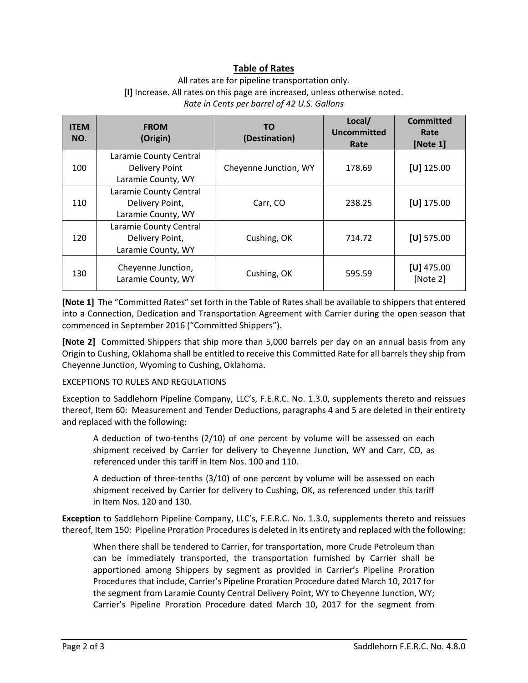### **Table of Rates**

#### All rates are for pipeline transportation only. **[I]** Increase. All rates on this page are increased, unless otherwise noted. *Rate in Cents per barrel of 42 U.S. Gallons*

| <b>ITEM</b><br>NO. | <b>FROM</b><br>(Origin)                                               | <b>TO</b><br>(Destination) | Local/<br>Uncommitted<br>Rate | <b>Committed</b><br>Rate<br>[Note 1] |
|--------------------|-----------------------------------------------------------------------|----------------------------|-------------------------------|--------------------------------------|
| 100                | Laramie County Central<br><b>Delivery Point</b><br>Laramie County, WY | Cheyenne Junction, WY      | 178.69                        | $[U]$ 125.00                         |
| 110                | Laramie County Central<br>Delivery Point,<br>Laramie County, WY       | Carr, CO                   | 238.25                        | $[U]$ 175.00                         |
| 120                | Laramie County Central<br>Delivery Point,<br>Laramie County, WY       | Cushing, OK                | 714.72                        | $[U]$ 575.00                         |
| 130                | Cheyenne Junction,<br>Laramie County, WY                              | Cushing, OK                | 595.59                        | $[U]$ 475.00<br>[Note 2]             |

**[Note 1]** The "Committed Rates" set forth in the Table of Rates shall be available to shippers that entered into a Connection, Dedication and Transportation Agreement with Carrier during the open season that commenced in September 2016 ("Committed Shippers").

**[Note 2]** Committed Shippers that ship more than 5,000 barrels per day on an annual basis from any Origin to Cushing, Oklahoma shall be entitled to receive this Committed Rate for all barrels they ship from Cheyenne Junction, Wyoming to Cushing, Oklahoma.

#### EXCEPTIONS TO RULES AND REGULATIONS

Exception to Saddlehorn Pipeline Company, LLC's, F.E.R.C. No. 1.3.0, supplements thereto and reissues thereof, Item 60: Measurement and Tender Deductions, paragraphs 4 and 5 are deleted in their entirety and replaced with the following:

A deduction of two-tenths (2/10) of one percent by volume will be assessed on each shipment received by Carrier for delivery to Cheyenne Junction, WY and Carr, CO, as referenced under this tariff in Item Nos. 100 and 110.

A deduction of three-tenths (3/10) of one percent by volume will be assessed on each shipment received by Carrier for delivery to Cushing, OK, as referenced under this tariff in Item Nos. 120 and 130.

**Exception** to Saddlehorn Pipeline Company, LLC's, F.E.R.C. No. 1.3.0, supplements thereto and reissues thereof, Item 150: Pipeline Proration Procedures is deleted in its entirety and replaced with the following:

When there shall be tendered to Carrier, for transportation, more Crude Petroleum than can be immediately transported, the transportation furnished by Carrier shall be apportioned among Shippers by segment as provided in Carrier's Pipeline Proration Procedures that include, Carrier's Pipeline Proration Procedure dated March 10, 2017 for the segment from Laramie County Central Delivery Point, WY to Cheyenne Junction, WY; Carrier's Pipeline Proration Procedure dated March 10, 2017 for the segment from